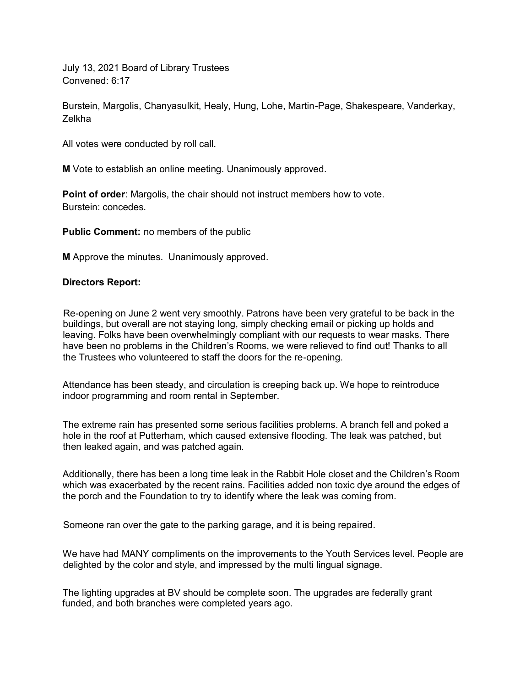July 13, 2021 Board of Library Trustees Convened: 6:17

Burstein, Margolis, Chanyasulkit, Healy, Hung, Lohe, Martin-Page, Shakespeare, Vanderkay, Zelkha

All votes were conducted by roll call.

**M** Vote to establish an online meeting. Unanimously approved.

**Point of order**: Margolis, the chair should not instruct members how to vote. Burstein: concedes.

**Public Comment:** no members of the public

**M** Approve the minutes. Unanimously approved.

## **Directors Report:**

Re-opening on June 2 went very smoothly. Patrons have been very grateful to be back in the buildings, but overall are not staying long, simply checking email or picking up holds and leaving. Folks have been overwhelmingly compliant with our requests to wear masks. There have been no problems in the Children's Rooms, we were relieved to find out! Thanks to all the Trustees who volunteered to staff the doors for the re-opening.

Attendance has been steady, and circulation is creeping back up. We hope to reintroduce indoor programming and room rental in September.

The extreme rain has presented some serious facilities problems. A branch fell and poked a hole in the roof at Putterham, which caused extensive flooding. The leak was patched, but then leaked again, and was patched again.

Additionally, there has been a long time leak in the Rabbit Hole closet and the Children's Room which was exacerbated by the recent rains. Facilities added non toxic dye around the edges of the porch and the Foundation to try to identify where the leak was coming from.

Someone ran over the gate to the parking garage, and it is being repaired.

We have had MANY compliments on the improvements to the Youth Services level. People are delighted by the color and style, and impressed by the multi lingual signage.

The lighting upgrades at BV should be complete soon. The upgrades are federally grant funded, and both branches were completed years ago.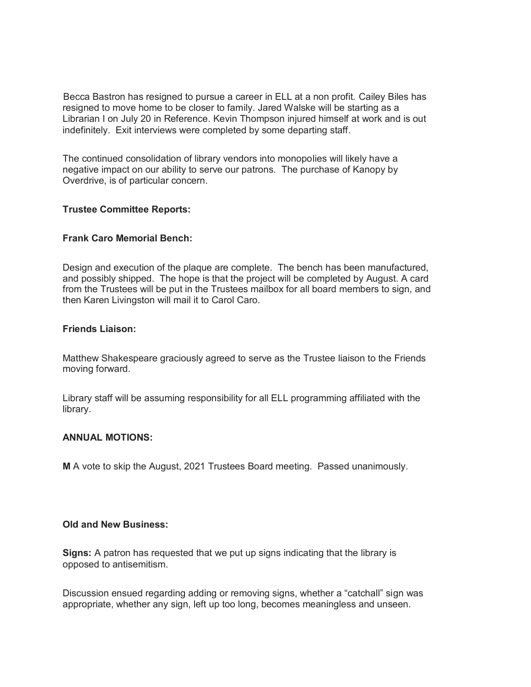Becca Bastron has resigned to pursue a career in ELL at a non profit. Cailey Biles has resigned to move home to be closer to family. Jared Walske will be starting as a Librarian I on July 20 in Reference. Kevin Thompson injured himself at work and is out indefinitely. Exit interviews were completed by some departing staff.

The continued consolidation of library vendors into monopolies will likely have a negative impact on our ability to serve our patrons. The purchase of Kanopy by Overdrive, is of particular concern.

# **Trustee Committee Reports:**

# **Frank Caro Memorial Bench:**

Design and execution of the plaque are complete. The bench has been manufactured, and possibly shipped. The hope is that the project will be completed by August. A card from the Trustees will be put in the Trustees mailbox for all board members to sign, and then Karen Livingston will mail it to Carol Caro.

## **Friends Liaison:**

Matthew Shakespeare graciously agreed to serve as the Trustee liaison to the Friends moving forward.

Library staff will be assuming responsibility for all ELL programming affiliated with the library.

#### **ANNUAL MOTIONS:**

**M** A vote to skip the August, 2021 Trustees Board meeting. Passed unanimously.

# **Old and New Business:**

**Signs:** A patron has requested that we put up signs indicating that the library is opposed to antisemitism.

Discussion ensued regarding adding or removing signs, whether a "catchall" sign was appropriate, whether any sign, left up too long, becomes meaningless and unseen.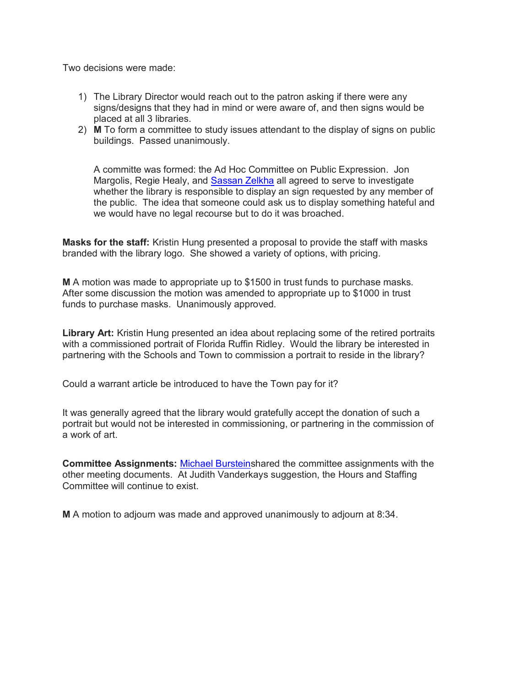Two decisions were made:

- 1) The Library Director would reach out to the patron asking if there were any signs/designs that they had in mind or were aware of, and then signs would be placed at all 3 libraries.
- 2) **M** To form a committee to study issues attendant to the display of signs on public buildings. Passed unanimously.

A committe was formed: the Ad Hoc Committee on Public Expression. Jon Margolis, Regie Healy, and [Sassan Zelkha](mailto:sassanbrookline@gmail.com) all agreed to serve to investigate whether the library is responsible to display an sign requested by any member of the public. The idea that someone could ask us to display something hateful and we would have no legal recourse but to do it was broached.

**Masks for the staff:** Kristin Hung presented a proposal to provide the staff with masks branded with the library logo. She showed a variety of options, with pricing.

**M** A motion was made to appropriate up to \$1500 in trust funds to purchase masks. After some discussion the motion was amended to appropriate up to \$1000 in trust funds to purchase masks. Unanimously approved.

**Library Art:** Kristin Hung presented an idea about replacing some of the retired portraits with a commissioned portrait of Florida Ruffin Ridley. Would the library be interested in partnering with the Schools and Town to commission a portrait to reside in the library?

Could a warrant article be introduced to have the Town pay for it?

It was generally agreed that the library would gratefully accept the donation of such a portrait but would not be interested in commissioning, or partnering in the commission of a work of art.

**Committee Assignments:** [Michael Bursteins](mailto:michael@mabfan.com)hared the committee assignments with the other meeting documents. At Judith Vanderkays suggestion, the Hours and Staffing Committee will continue to exist.

**M** A motion to adjourn was made and approved unanimously to adjourn at 8:34.